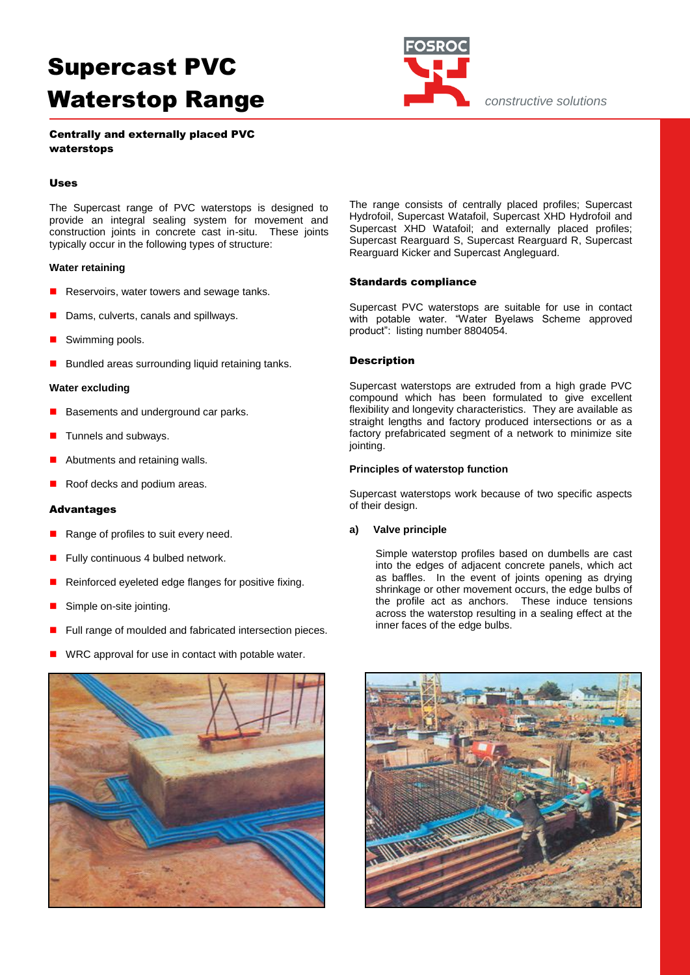

*constructive solutions*

## Centrally and externally placed PVC waterstops

#### Uses

The Supercast range of PVC waterstops is designed to provide an integral sealing system for movement and construction joints in concrete cast in-situ. These joints typically occur in the following types of structure:

#### **Water retaining**

- Reservoirs, water towers and sewage tanks.
- Dams, culverts, canals and spillways.
- Swimming pools.
- Bundled areas surrounding liquid retaining tanks.

#### **Water excluding**

- Basements and underground car parks.
- Tunnels and subways.
- Abutments and retaining walls.
- Roof decks and podium areas.

#### Advantages

- Range of profiles to suit every need.
- Fully continuous 4 bulbed network.
- Reinforced eyeleted edge flanges for positive fixing.
- Simple on-site jointing.
- Full range of moulded and fabricated intersection pieces.
- WRC approval for use in contact with potable water.



The range consists of centrally placed profiles; Supercast Hydrofoil, Supercast Watafoil, Supercast XHD Hydrofoil and Supercast XHD Watafoil; and externally placed profiles; Supercast Rearguard S, Supercast Rearguard R, Supercast Rearguard Kicker and Supercast Angleguard.

#### Standards compliance

Supercast PVC waterstops are suitable for use in contact with potable water. "Water Byelaws Scheme approved product": listing number 8804054.

#### Description

Supercast waterstops are extruded from a high grade PVC compound which has been formulated to give excellent flexibility and longevity characteristics. They are available as straight lengths and factory produced intersections or as a factory prefabricated segment of a network to minimize site jointing.

#### **Principles of waterstop function**

Supercast waterstops work because of two specific aspects of their design.

#### **a) Valve principle**

Simple waterstop profiles based on dumbells are cast into the edges of adjacent concrete panels, which act as baffles. In the event of joints opening as drying shrinkage or other movement occurs, the edge bulbs of the profile act as anchors. These induce tensions across the waterstop resulting in a sealing effect at the inner faces of the edge bulbs.

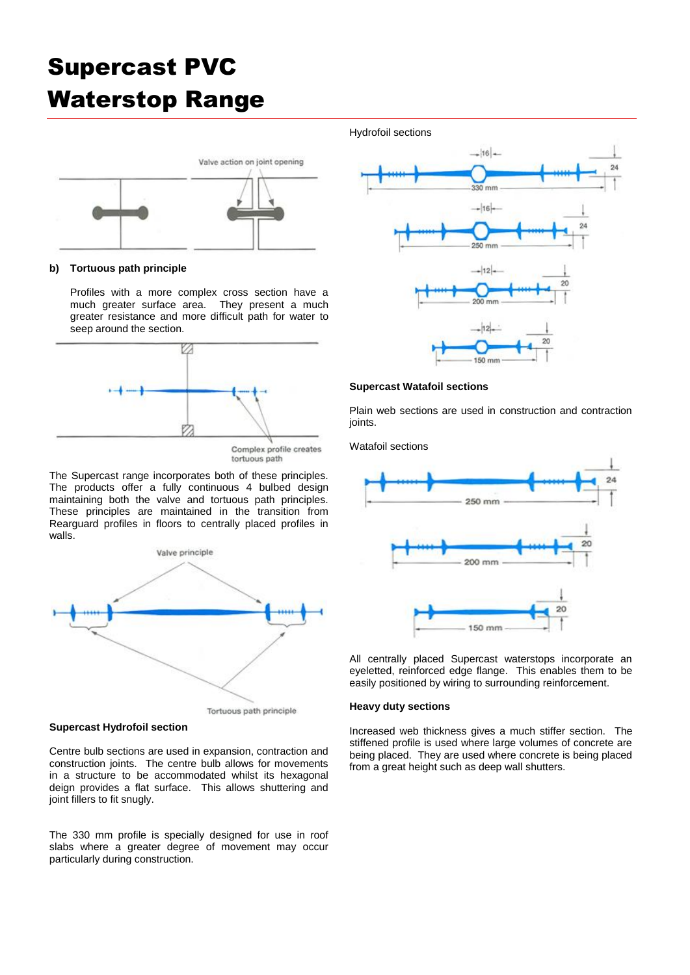

#### **b) Tortuous path principle**

Profiles with a more complex cross section have a much greater surface area. They present a much greater resistance and more difficult path for water to seep around the section.



The Supercast range incorporates both of these principles. The products offer a fully continuous 4 bulbed design maintaining both the valve and tortuous path principles. These principles are maintained in the transition from Rearguard profiles in floors to centrally placed profiles in walls.



**Supercast Hydrofoil section**

Centre bulb sections are used in expansion, contraction and construction joints. The centre bulb allows for movements in a structure to be accommodated whilst its hexagonal deign provides a flat surface. This allows shuttering and joint fillers to fit snugly.

The 330 mm profile is specially designed for use in roof slabs where a greater degree of movement may occur particularly during construction.

Hydrofoil sections



### **Supercast Watafoil sections**

Plain web sections are used in construction and contraction joints.

Watafoil sections



All centrally placed Supercast waterstops incorporate an eyeletted, reinforced edge flange. This enables them to be easily positioned by wiring to surrounding reinforcement.

#### **Heavy duty sections**

Increased web thickness gives a much stiffer section. The stiffened profile is used where large volumes of concrete are being placed. They are used where concrete is being placed from a great height such as deep wall shutters.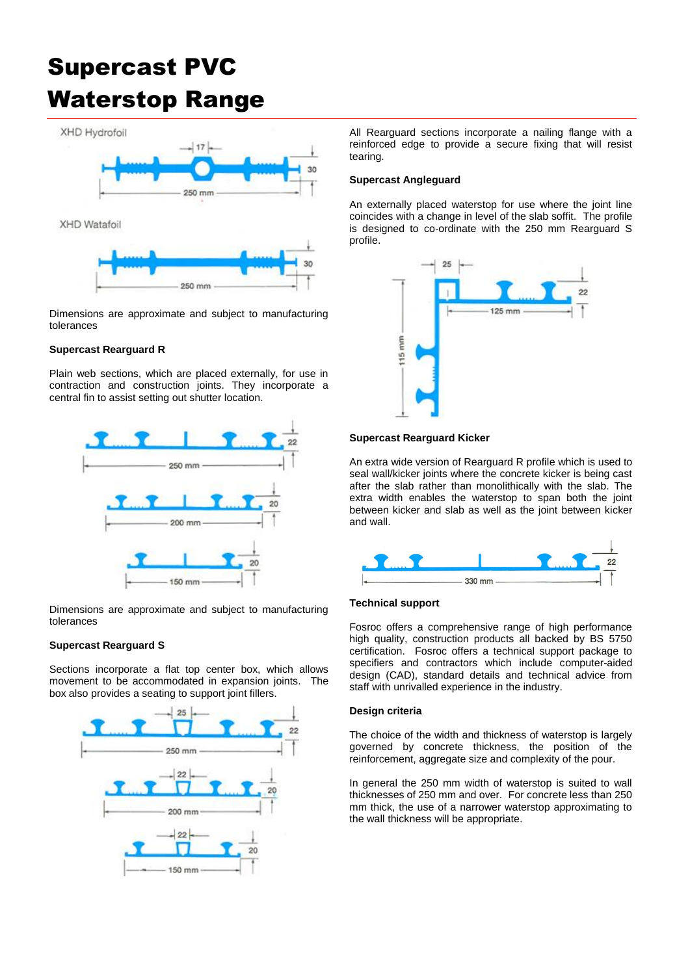XHD Hydrofoil



Dimensions are approximate and subject to manufacturing tolerances

### **Supercast Rearguard R**

Plain web sections, which are placed externally, for use in contraction and construction joints. They incorporate a central fin to assist setting out shutter location.



Dimensions are approximate and subject to manufacturing tolerances

### **Supercast Rearguard S**

Sections incorporate a flat top center box, which allows movement to be accommodated in expansion joints. The box also provides a seating to support joint fillers.



All Rearguard sections incorporate a nailing flange with a reinforced edge to provide a secure fixing that will resist tearing.

#### **Supercast Angleguard**

An externally placed waterstop for use where the joint line coincides with a change in level of the slab soffit. The profile is designed to co-ordinate with the 250 mm Rearguard S profile.



#### **Supercast Rearguard Kicker**

An extra wide version of Rearguard R profile which is used to seal wall/kicker joints where the concrete kicker is being cast after the slab rather than monolithically with the slab. The extra width enables the waterstop to span both the joint between kicker and slab as well as the joint between kicker and wall.



### **Technical support**

Fosroc offers a comprehensive range of high performance high quality, construction products all backed by BS 5750 certification. Fosroc offers a technical support package to specifiers and contractors which include computer-aided design (CAD), standard details and technical advice from staff with unrivalled experience in the industry.

#### **Design criteria**

The choice of the width and thickness of waterstop is largely governed by concrete thickness, the position of the reinforcement, aggregate size and complexity of the pour.

In general the 250 mm width of waterstop is suited to wall thicknesses of 250 mm and over. For concrete less than 250 mm thick, the use of a narrower waterstop approximating to the wall thickness will be appropriate.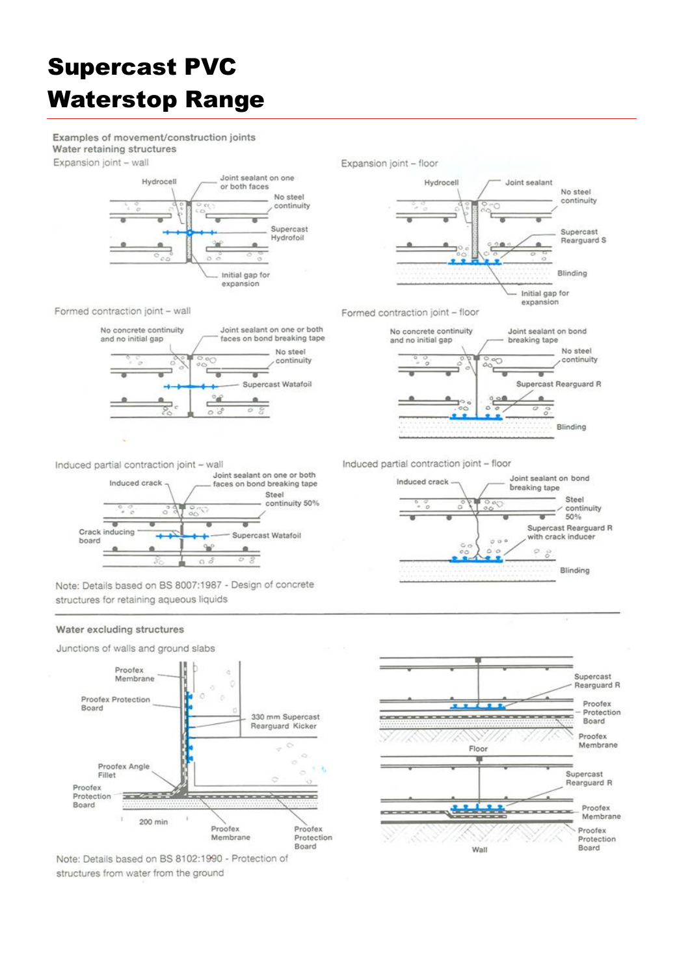Examples of movement/construction joints Water retaining structures Expansion joint - wall





Formed contraction joint - wall



Formed contraction joint - floor



Induced partial contraction joint - wall



Note: Details based on BS 8007:1987 - Design of concrete structures for retaining aqueous liquids

#### Water excluding structures



Note: Details based on BS 8102:1990 - Protection of structures from water from the ground

Induced partial contraction joint - floor



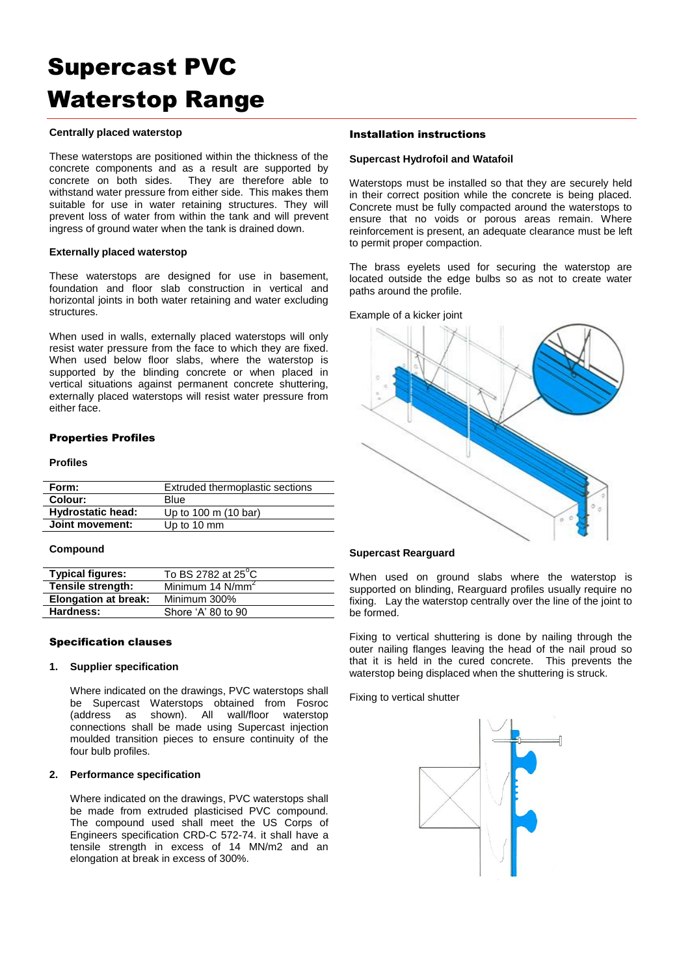#### **Centrally placed waterstop**

These waterstops are positioned within the thickness of the concrete components and as a result are supported by concrete on both sides. They are therefore able to withstand water pressure from either side. This makes them suitable for use in water retaining structures. They will prevent loss of water from within the tank and will prevent ingress of ground water when the tank is drained down.

#### **Externally placed waterstop**

These waterstops are designed for use in basement. foundation and floor slab construction in vertical and horizontal joints in both water retaining and water excluding structures.

When used in walls, externally placed waterstops will only resist water pressure from the face to which they are fixed. When used below floor slabs, where the waterstop is supported by the blinding concrete or when placed in vertical situations against permanent concrete shuttering, externally placed waterstops will resist water pressure from either face.

### Properties Profiles

#### **Profiles**

| Form:                    | Extruded thermoplastic sections |  |  |  |
|--------------------------|---------------------------------|--|--|--|
| Colour:                  | Blue                            |  |  |  |
| <b>Hydrostatic head:</b> | Up to 100 m (10 bar)            |  |  |  |
| Joint movement:          | Up to 10 mm                     |  |  |  |

#### **Compound**

| <b>Typical figures:</b>     | To BS 2782 at 25°C           |
|-----------------------------|------------------------------|
| Tensile strength:           | Minimum 14 N/mm <sup>2</sup> |
| <b>Elongation at break:</b> | Minimum 300%                 |
| Hardness:                   | Shore 'A' 80 to 90           |

#### Specification clauses

#### **1. Supplier specification**

Where indicated on the drawings, PVC waterstops shall be Supercast Waterstops obtained from Fosroc (address as shown). All wall/floor waterstop connections shall be made using Supercast injection moulded transition pieces to ensure continuity of the four bulb profiles.

#### **2. Performance specification**

Where indicated on the drawings, PVC waterstops shall be made from extruded plasticised PVC compound. The compound used shall meet the US Corps of Engineers specification CRD-C 572-74. it shall have a tensile strength in excess of 14 MN/m2 and an elongation at break in excess of 300%.

### Installation instructions

#### **Supercast Hydrofoil and Watafoil**

Waterstops must be installed so that they are securely held in their correct position while the concrete is being placed. Concrete must be fully compacted around the waterstops to ensure that no voids or porous areas remain. Where reinforcement is present, an adequate clearance must be left to permit proper compaction.

The brass eyelets used for securing the waterstop are located outside the edge bulbs so as not to create water paths around the profile.

Example of a kicker joint



### **Supercast Rearguard**

When used on ground slabs where the waterstop is supported on blinding, Rearguard profiles usually require no fixing. Lay the waterstop centrally over the line of the joint to be formed.

Fixing to vertical shuttering is done by nailing through the outer nailing flanges leaving the head of the nail proud so that it is held in the cured concrete. This prevents the waterstop being displaced when the shuttering is struck.

Fixing to vertical shutter

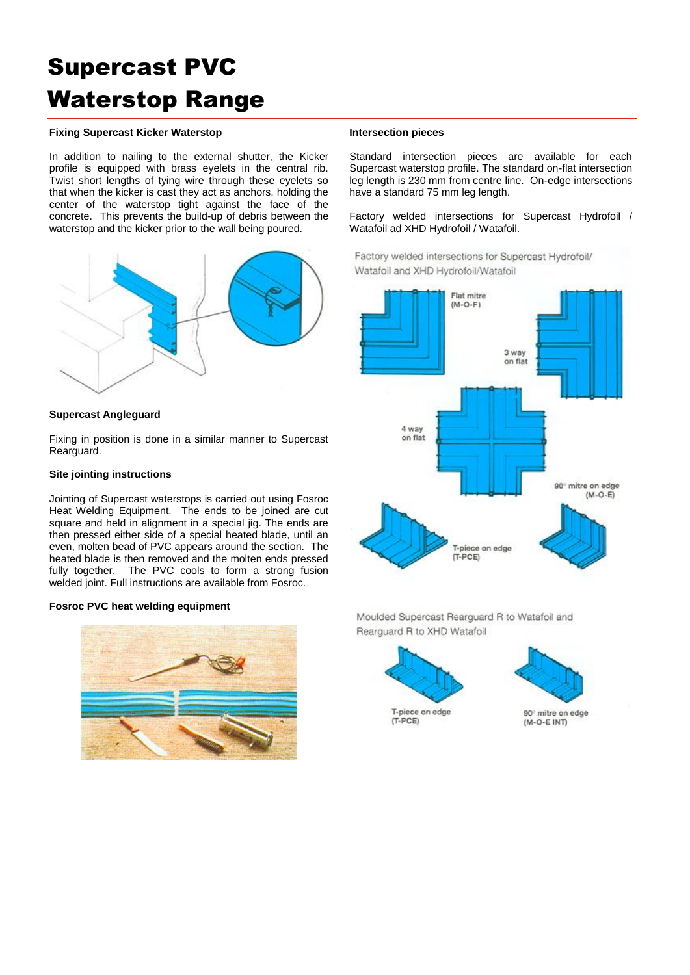### **Fixing Supercast Kicker Waterstop**

In addition to nailing to the external shutter, the Kicker profile is equipped with brass eyelets in the central rib. Twist short lengths of tying wire through these eyelets so that when the kicker is cast they act as anchors, holding the center of the waterstop tight against the face of the concrete. This prevents the build-up of debris between the waterstop and the kicker prior to the wall being poured.



#### **Supercast Angleguard**

Fixing in position is done in a similar manner to Supercast Rearguard.

#### **Site jointing instructions**

Jointing of Supercast waterstops is carried out using Fosroc Heat Welding Equipment. The ends to be joined are cut square and held in alignment in a special jig. The ends are then pressed either side of a special heated blade, until an even, molten bead of PVC appears around the section. The heated blade is then removed and the molten ends pressed fully together. The PVC cools to form a strong fusion welded joint. Full instructions are available from Fosroc.

#### **Fosroc PVC heat welding equipment**



#### **Intersection pieces**

Standard intersection pieces are available for each Supercast waterstop profile. The standard on-flat intersection leg length is 230 mm from centre line. On-edge intersections have a standard 75 mm leg length.

Factory welded intersections for Supercast Hydrofoil / Watafoil ad XHD Hydrofoil / Watafoil.

Factory welded intersections for Supercast Hydrofoil/ Watafoil and XHD Hydrofoil/Watafoil



Moulded Supercast Rearguard R to Watafoil and Rearguard R to XHD Watafoil





90° mitre on edge (M-O-E INT)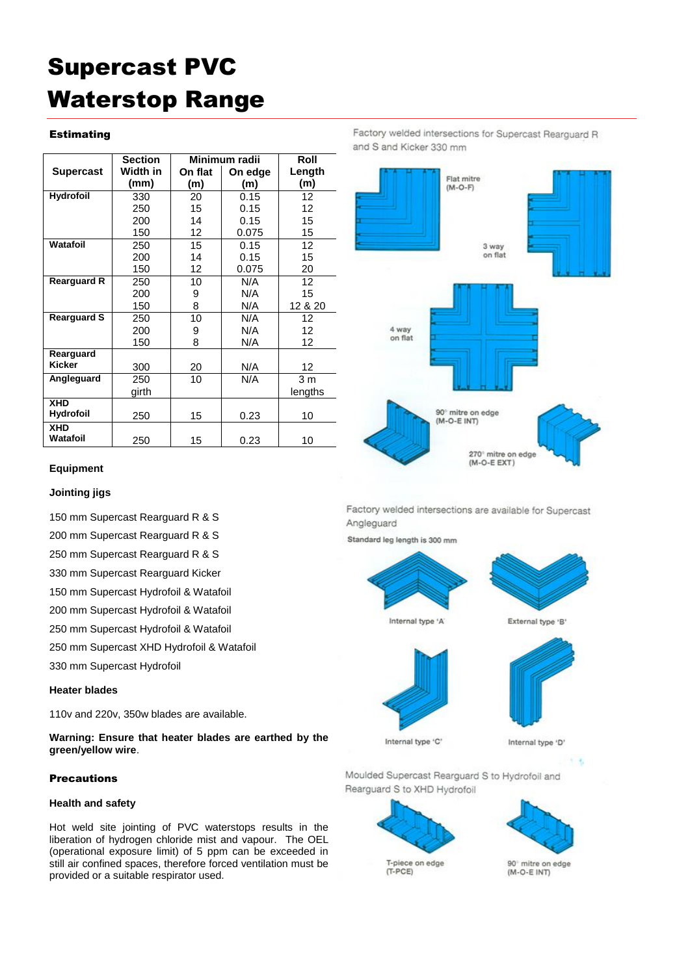### Estimating

|                        | <b>Section</b> | Minimum radii |         | Roll           |
|------------------------|----------------|---------------|---------|----------------|
| <b>Supercast</b>       | Width in       | On flat       | On edge | Length         |
|                        | (mm)           | (m)           | (m)     | (m)            |
| <b>Hydrofoil</b>       | 330            | 20            | 0.15    | 12             |
|                        | 250            | 15            | 0.15    | 12             |
|                        | 200            | 14            | 0.15    | 15             |
|                        | 150            | 12            | 0.075   | 15             |
| Watafoil               | 250            | 15            | 0.15    | 12             |
|                        | 200            | 14            | 0.15    | 15             |
|                        | 150            | 12            | 0.075   | 20             |
| <b>Rearguard R</b>     | 250            | 10            | N/A     | 12             |
|                        | 200            | 9             | N/A     | 15             |
|                        | 150            | 8             | N/A     | 12 & 20        |
| <b>Rearguard S</b>     | 250            | 10            | N/A     | 12             |
|                        | 200            | 9             | N/A     | 12             |
|                        | 150            | 8             | N/A     | 12             |
| Rearguard              |                |               |         |                |
| <b>Kicker</b>          | 300            | 20            | N/A     | 12             |
| Angleguard             | 250            | 10            | N/A     | 3 <sub>m</sub> |
|                        | girth          |               |         | lengths        |
| <b>XHD</b>             |                |               |         |                |
| <b>Hydrofoil</b>       | 250            | 15            | 0.23    | 10             |
| <b>XHD</b><br>Watafoil | 250            | 15            | 0.23    | 10             |

Factory welded intersections for Supercast Rearguard R and S and Kicker 330 mm



# **Equipment**

#### **Jointing jigs**

150 mm Supercast Rearguard R & S

200 mm Supercast Rearguard R & S

250 mm Supercast Rearguard R & S

330 mm Supercast Rearguard Kicker

150 mm Supercast Hydrofoil & Watafoil

200 mm Supercast Hydrofoil & Watafoil

250 mm Supercast Hydrofoil & Watafoil

250 mm Supercast XHD Hydrofoil & Watafoil

330 mm Supercast Hydrofoil

## **Heater blades**

110v and 220v, 350w blades are available.

**Warning: Ensure that heater blades are earthed by the green/yellow wire**.

## Precautions

### **Health and safety**

Hot weld site jointing of PVC waterstops results in the liberation of hydrogen chloride mist and vapour. The OEL (operational exposure limit) of 5 ppm can be exceeded in still air confined spaces, therefore forced ventilation must be provided or a suitable respirator used.

Factory welded intersections are available for Supercast Angleguard

Standard leg length is 300 mm



External type 'B'



Internal type 'C'

 $1 - 4.$ 

Moulded Supercast Rearguard S to Hydrofoil and Rearguard S to XHD Hydrofoil





90° mitre on edge  $(M - O - F)$  INTI